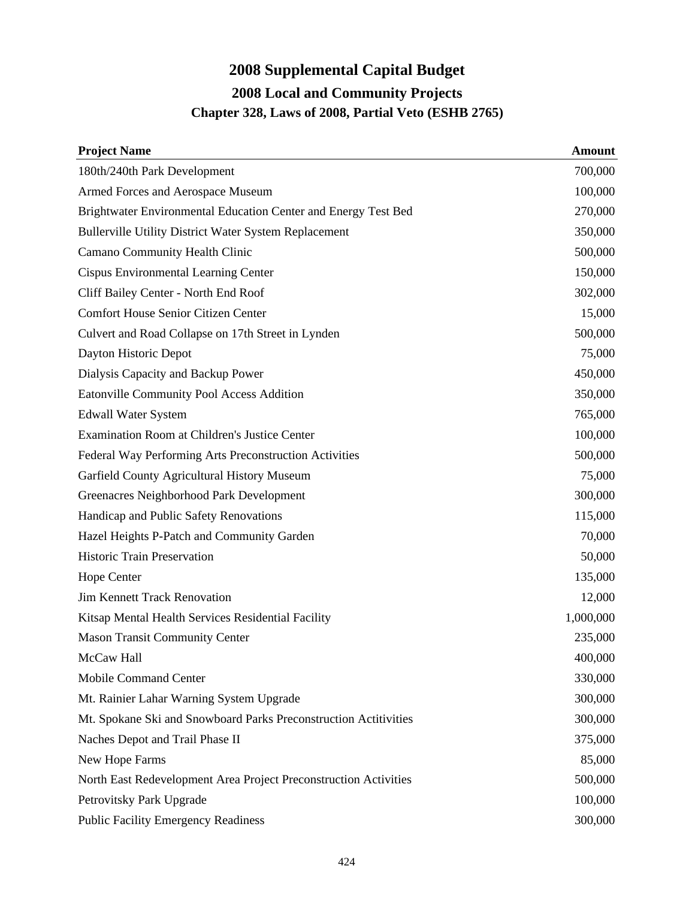## **2008 Supplemental Capital Budget 2008 Local and Community Projects Chapter 328, Laws of 2008, Partial Veto (ESHB 2765)**

| <b>Project Name</b>                                              | <b>Amount</b> |
|------------------------------------------------------------------|---------------|
| 180th/240th Park Development                                     | 700,000       |
| Armed Forces and Aerospace Museum                                | 100,000       |
| Brightwater Environmental Education Center and Energy Test Bed   | 270,000       |
| <b>Bullerville Utility District Water System Replacement</b>     | 350,000       |
| Camano Community Health Clinic                                   | 500,000       |
| Cispus Environmental Learning Center                             | 150,000       |
| Cliff Bailey Center - North End Roof                             | 302,000       |
| <b>Comfort House Senior Citizen Center</b>                       | 15,000        |
| Culvert and Road Collapse on 17th Street in Lynden               | 500,000       |
| Dayton Historic Depot                                            | 75,000        |
| Dialysis Capacity and Backup Power                               | 450,000       |
| Eatonville Community Pool Access Addition                        | 350,000       |
| <b>Edwall Water System</b>                                       | 765,000       |
| Examination Room at Children's Justice Center                    | 100,000       |
| Federal Way Performing Arts Preconstruction Activities           | 500,000       |
| Garfield County Agricultural History Museum                      | 75,000        |
| Greenacres Neighborhood Park Development                         | 300,000       |
| Handicap and Public Safety Renovations                           | 115,000       |
| Hazel Heights P-Patch and Community Garden                       | 70,000        |
| <b>Historic Train Preservation</b>                               | 50,000        |
| <b>Hope Center</b>                                               | 135,000       |
| Jim Kennett Track Renovation                                     | 12,000        |
| Kitsap Mental Health Services Residential Facility               | 1,000,000     |
| <b>Mason Transit Community Center</b>                            | 235,000       |
| McCaw Hall                                                       | 400,000       |
| <b>Mobile Command Center</b>                                     | 330,000       |
| Mt. Rainier Lahar Warning System Upgrade                         | 300,000       |
| Mt. Spokane Ski and Snowboard Parks Preconstruction Actitivities | 300,000       |
| Naches Depot and Trail Phase II                                  | 375,000       |
| New Hope Farms                                                   | 85,000        |
| North East Redevelopment Area Project Preconstruction Activities | 500,000       |
| Petrovitsky Park Upgrade                                         | 100,000       |
| <b>Public Facility Emergency Readiness</b>                       | 300,000       |